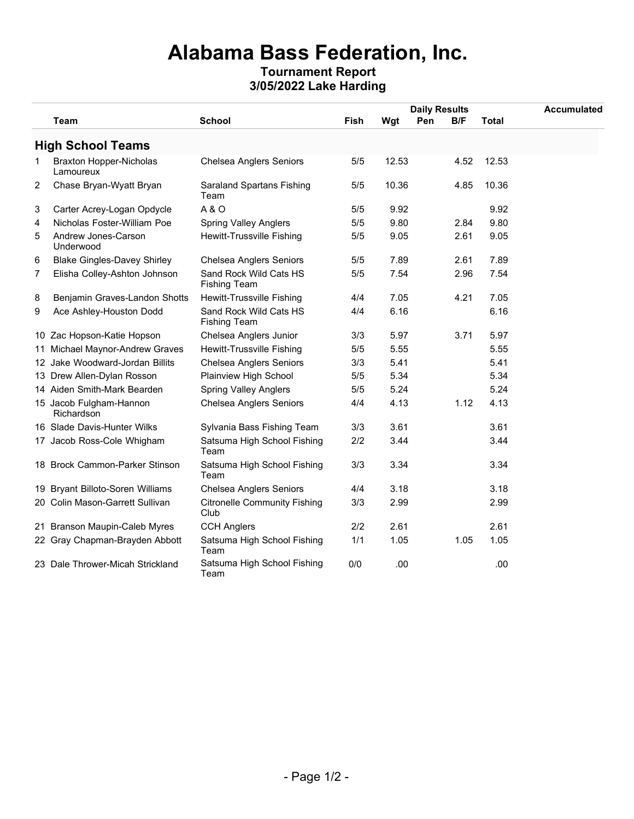## **Alabama Bass Federation, Inc.**

## **Tournament Report 3/05/2022 Lake Harding**

|   |                                             |                                               |             |       | <b>Daily Results</b> | <b>Accumulated</b> |  |
|---|---------------------------------------------|-----------------------------------------------|-------------|-------|----------------------|--------------------|--|
|   | Team                                        | <b>School</b>                                 | <b>Fish</b> | Wgt   | B/F<br>Pen           | <b>Total</b>       |  |
|   | <b>High School Teams</b>                    |                                               |             |       |                      |                    |  |
| 1 | <b>Braxton Hopper-Nicholas</b><br>Lamoureux | <b>Chelsea Anglers Seniors</b>                | 5/5         | 12.53 | 4.52                 | 12.53              |  |
| 2 | Chase Bryan-Wyatt Bryan                     | Saraland Spartans Fishing<br>Team             | 5/5         | 10.36 | 4.85                 | 10.36              |  |
| 3 | Carter Acrey-Logan Opdycle                  | <b>A&amp;O</b>                                | 5/5         | 9.92  |                      | 9.92               |  |
| 4 | Nicholas Foster-William Poe                 | <b>Spring Valley Anglers</b>                  | 5/5         | 9.80  | 2.84                 | 9.80               |  |
| 5 | Andrew Jones-Carson<br>Underwood            | <b>Hewitt-Trussville Fishing</b>              | 5/5         | 9.05  | 2.61                 | 9.05               |  |
| 6 | <b>Blake Gingles-Davey Shirley</b>          | <b>Chelsea Anglers Seniors</b>                | 5/5         | 7.89  | 2.61                 | 7.89               |  |
| 7 | Elisha Colley-Ashton Johnson                | Sand Rock Wild Cats HS<br><b>Fishing Team</b> | 5/5         | 7.54  | 2.96                 | 7.54               |  |
| 8 | Benjamin Graves-Landon Shotts               | <b>Hewitt-Trussville Fishing</b>              | 4/4         | 7.05  | 4.21                 | 7.05               |  |
| 9 | Ace Ashley-Houston Dodd                     | Sand Rock Wild Cats HS<br><b>Fishing Team</b> | 4/4         | 6.16  |                      | 6.16               |  |
|   | 10 Zac Hopson-Katie Hopson                  | Chelsea Anglers Junior                        | 3/3         | 5.97  | 3.71                 | 5.97               |  |
|   | 11 Michael Maynor-Andrew Graves             | Hewitt-Trussville Fishing                     | 5/5         | 5.55  |                      | 5.55               |  |
|   | 12 Jake Woodward-Jordan Billits             | <b>Chelsea Anglers Seniors</b>                | 3/3         | 5.41  |                      | 5.41               |  |
|   | 13 Drew Allen-Dylan Rosson                  | Plainview High School                         | 5/5         | 5.34  |                      | 5.34               |  |
|   | 14 Aiden Smith-Mark Bearden                 | <b>Spring Valley Anglers</b>                  | 5/5         | 5.24  |                      | 5.24               |  |
|   | 15 Jacob Fulgham-Hannon<br>Richardson       | <b>Chelsea Anglers Seniors</b>                | 4/4         | 4.13  | 1.12                 | 4.13               |  |
|   | 16 Slade Davis-Hunter Wilks                 | Sylvania Bass Fishing Team                    | 3/3         | 3.61  |                      | 3.61               |  |
|   | 17 Jacob Ross-Cole Whigham                  | Satsuma High School Fishing<br>Team           | 2/2         | 3.44  |                      | 3.44               |  |
|   | 18 Brock Cammon-Parker Stinson              | Satsuma High School Fishing<br>Team           | 3/3         | 3.34  |                      | 3.34               |  |
|   | 19 Bryant Billoto-Soren Williams            | <b>Chelsea Anglers Seniors</b>                | 4/4         | 3.18  |                      | 3.18               |  |
|   | 20 Colin Mason-Garrett Sullivan             | <b>Citronelle Community Fishing</b><br>Club   | 3/3         | 2.99  |                      | 2.99               |  |
|   | 21 Branson Maupin-Caleb Myres               | <b>CCH Anglers</b>                            | 2/2         | 2.61  |                      | 2.61               |  |
|   | 22 Gray Chapman-Brayden Abbott              | Satsuma High School Fishing<br>Team           | 1/1         | 1.05  | 1.05                 | 1.05               |  |
|   | 23 Dale Thrower-Micah Strickland            | Satsuma High School Fishing<br>Team           | 0/0         | .00   |                      | .00                |  |